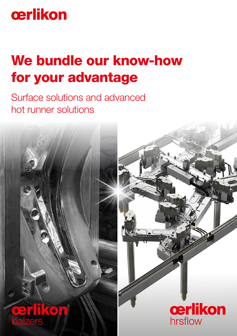# cerlikon

# We bundle our know-how for your advantage

Surface solutions and advanced hot runner solutions



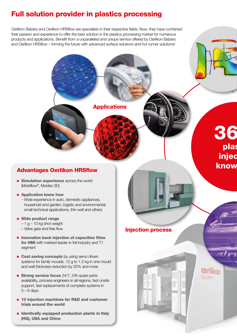## Full solution provider in plastics processing

Oerlikon Balzers and Oerlikon HRSflow are specialists in their respective fields. Now, they have combined their passion and experience to offer the best solution in the plastics processing market for numerous products and applications. Benefit from a unparalleled and unique service offered by Oerlikon Balzers and Oerlikon HRSflow – forming the future with advanced surface solutions and hot runner solutions!

**Applications** 



- **Simulation experience** across the world (Moldflow®, Moldex 3D)
- Application know how
	- Wide experience in auto, domestic appliances, – household and garden, logistic and environmental, small technical applications, thin wall and others
- Wide product range
	- $-1$  g  $-10$  kg shot weight
	- Valve gate and free flow
- $\blacksquare$  Innovative back injection of capacitive films for HMI with marked leader in foil industry and T1 segment
- Cost saving concepts by using servo driven systems for family moulds. 12 g to 1.2 kg in one mould and wall thickness reduction by 20% and more
- **Strong service focus** 24/7, 24h spare parts availability, process engineers in all regions, fast onsite support, fast replacements of complete systems in  $3 - 6$  days
- 10 injection machines for R&D and customer trials around the world
- $\blacksquare$  Identically equipped production plants in Italy (HQ), USA and China

## 36 plas injec know

**Cerlikon** balzers

### Injection process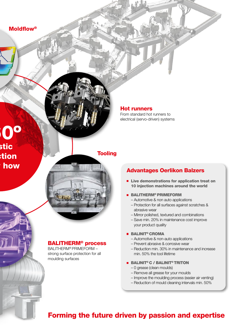360º stic  $:$ tion how

Hot runners

From standard hot runners to electrical (servo-driven) systems

### **Tooling**

BALITHERM® process

BALITHERM® PRIMEFORM – strong surface protection for all moulding surfaces

## Advantages Oerlikon Balzers

- **E** Live demonstrations for application treat on 10 injection machines around the world
- **BALITHERM® PRIMEFORM** 
	- Automotive & non auto applications
	- Protection for all surfaces against scratches & – abrasive wear
	- Mirror polished, textured and combinations
	- Save min. 20% in maintenance cost improve – your product quality

#### ■ BALINIT<sup>®</sup> CROMA

- Automotive & non-auto applications
- Prevent abrasive & corrosive wear
- Reduction min. 30% in maintenance and increase – min. 50% the tool lifetime
- BALINIT® C / BALINIT® TRITON
	- 0 grease (clean moulds)
	- Remove all grease for your moulds
	- Improve the moulding process (easier air venting)
	- Reduction of mould cleaning intervals min. 50%

## Forming the future driven by passion and expertise